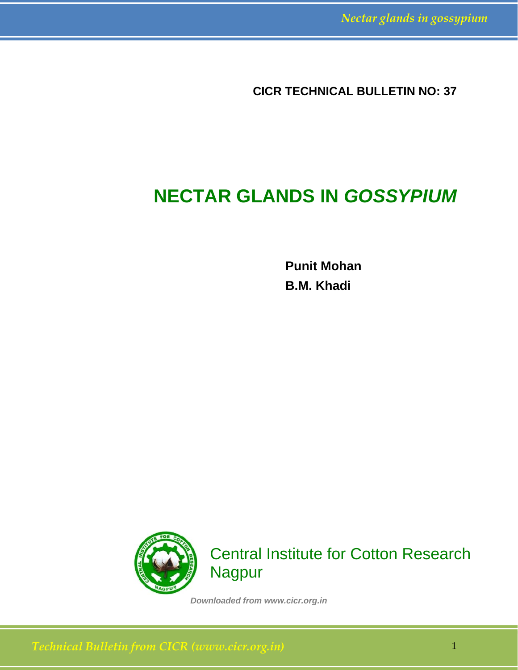**CICR TECHNICAL BULLETIN NO: 37** 

# **NECTAR GLANDS IN** *GOSSYPIUM*

**Punit Mohan B.M. Khadi** 



Central Institute for Cotton Research Nagpur

*Downloaded from www.cicr.org.in*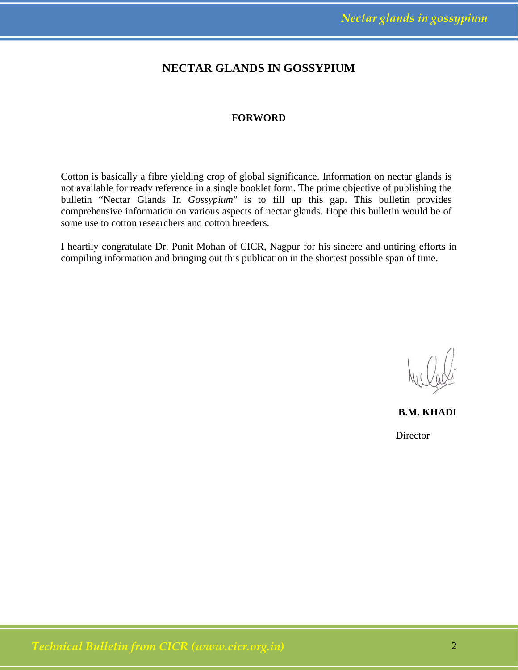### **NECTAR GLANDS IN GOSSYPIUM**

### **FORWORD**

Cotton is basically a fibre yielding crop of global significance. Information on nectar glands is not available for ready reference in a single booklet form. The prime objective of publishing the bulletin "Nectar Glands In *Gossypium*" is to fill up this gap. This bulletin provides comprehensive information on various aspects of nectar glands. Hope this bulletin would be of some use to cotton researchers and cotton breeders.

I heartily congratulate Dr. Punit Mohan of CICR, Nagpur for his sincere and untiring efforts in compiling information and bringing out this publication in the shortest possible span of time.

**B.M. KHADI** 

**Director**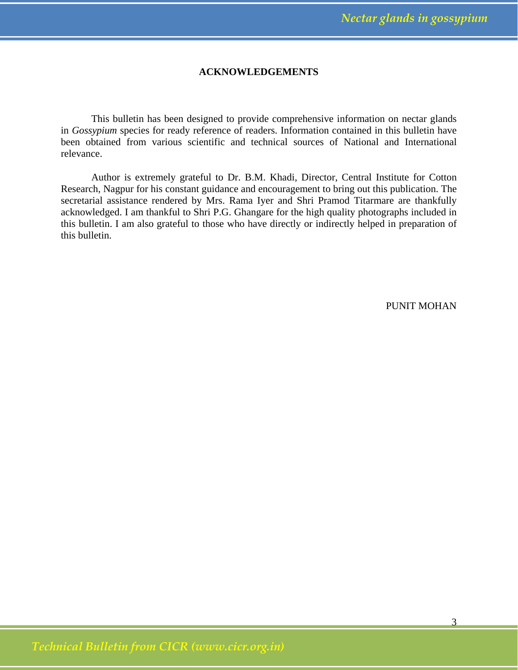### **ACKNOWLEDGEMENTS**

 This bulletin has been designed to provide comprehensive information on nectar glands in *Gossypium* species for ready reference of readers. Information contained in this bulletin have been obtained from various scientific and technical sources of National and International relevance.

 Author is extremely grateful to Dr. B.M. Khadi, Director, Central Institute for Cotton Research, Nagpur for his constant guidance and encouragement to bring out this publication. The secretarial assistance rendered by Mrs. Rama Iyer and Shri Pramod Titarmare are thankfully acknowledged. I am thankful to Shri P.G. Ghangare for the high quality photographs included in this bulletin. I am also grateful to those who have directly or indirectly helped in preparation of this bulletin.

PUNIT MOHAN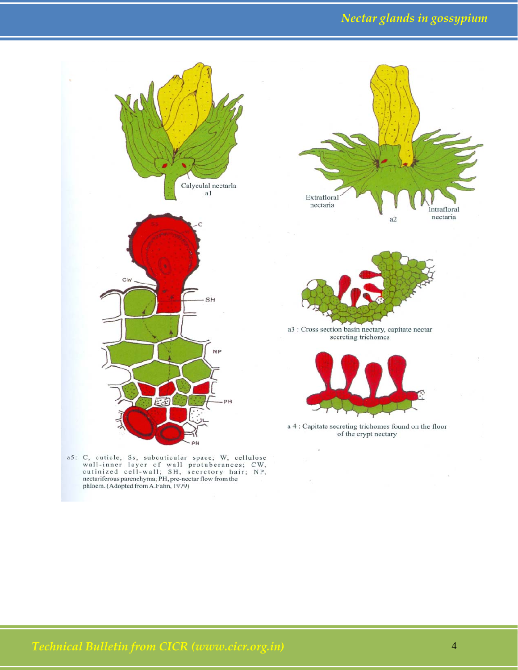## *Nectar glands in gossypium*



a5: C, cuticle, Ss, subcuticular space; W, cellulose wall-inner layer of wall protuberances; CW, cutinized cell-wall; SH, secretory hair; NP, nectariferous parenchyma; PH, pre-nectar flow from the phloem. (Adopted from A.F





a3 : Cross section basin nectary, capitate nectar secreting trichomes



a 4 : Capitate secreting trichomes found on the floor of the crypt nectary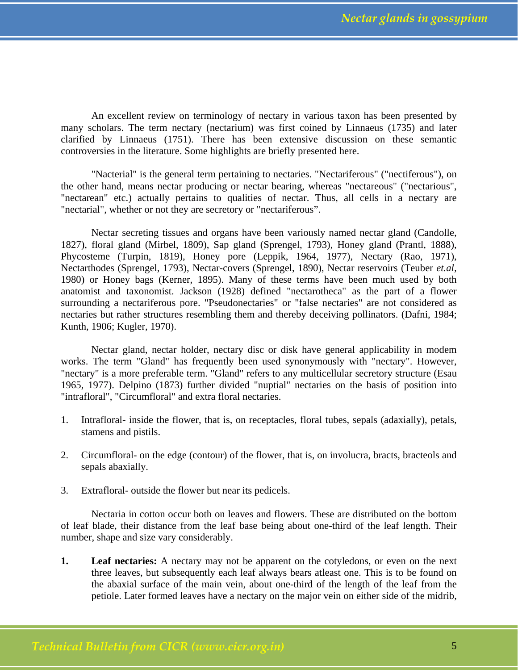An excellent review on terminology of nectary in various taxon has been presented by many scholars. The term nectary (nectarium) was first coined by Linnaeus (1735) and later clarified by Linnaeus (1751). There has been extensive discussion on these semantic controversies in the literature. Some highlights are briefly presented here.

"Nacterial" is the general term pertaining to nectaries. "Nectariferous" ("nectiferous"), on the other hand, means nectar producing or nectar bearing, whereas "nectareous" ("nectarious", "nectarean" etc.) actually pertains to qualities of nectar. Thus, all cells in a nectary are "nectarial", whether or not they are secretory or "nectariferous".

 Nectar secreting tissues and organs have been variously named nectar gland (Candolle, 1827), floral gland (Mirbel, 1809), Sap gland (Sprengel, 1793), Honey gland (Prantl, 1888), Phycosteme (Turpin, 1819), Honey pore (Leppik, 1964, 1977), Nectary (Rao, 1971), Nectarthodes (Sprengel, 1793), Nectar-covers (Sprengel, 1890), Nectar reservoirs (Teuber *et.al,* 1980) or Honey bags (Kerner, 1895). Many of these terms have been much used by both anatomist and taxonomist. Jackson (1928) defined "nectarotheca" as the part of a flower surrounding a nectariferous pore. "Pseudonectaries" or "false nectaries" are not considered as nectaries but rather structures resembling them and thereby deceiving pollinators. (Dafni, 1984; Kunth, 1906; Kugler, 1970).

 Nectar gland, nectar holder, nectary disc or disk have general applicability in modem works. The term "Gland" has frequently been used synonymously with "nectary". However, "nectary" is a more preferable term. "Gland" refers to any multicellular secretory structure (Esau 1965, 1977). Delpino (1873) further divided "nuptial" nectaries on the basis of position into "intrafloral", "Circumfloral" and extra floral nectaries.

- 1. Intrafloral- inside the flower, that is, on receptacles, floral tubes, sepals (adaxially), petals, stamens and pistils.
- 2. Circumfloral- on the edge (contour) of the flower, that is, on involucra, bracts, bracteols and sepals abaxially.
- 3. Extrafloral- outside the flower but near its pedicels.

 Nectaria in cotton occur both on leaves and flowers. These are distributed on the bottom of leaf blade, their distance from the leaf base being about one-third of the leaf length. Their number, shape and size vary considerably.

**1. Leaf nectaries:** A nectary may not be apparent on the cotyledons, or even on the next three leaves, but subsequently each leaf always bears atleast one. This is to be found on the abaxial surface of the main vein, about one-third of the length of the leaf from the petiole. Later formed leaves have a nectary on the major vein on either side of the midrib,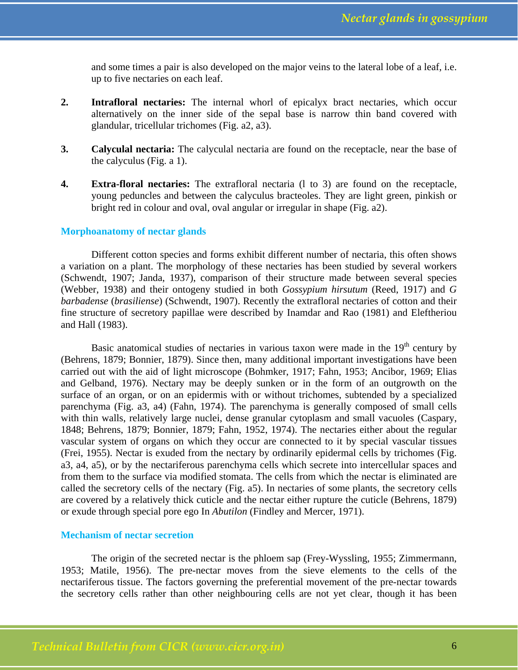and some times a pair is also developed on the major veins to the lateral lobe of a leaf, i.e. up to five nectaries on each leaf.

- **2. Intrafloral nectaries:** The internal whorl of epicalyx bract nectaries, which occur alternatively on the inner side of the sepal base is narrow thin band covered with glandular, tricellular trichomes (Fig. a2, a3).
- **3. Calyculal nectaria:** The calyculal nectaria are found on the receptacle, near the base of the calyculus (Fig. a 1).
- **4. Extra-floral nectaries:** The extrafloral nectaria (l to 3) are found on the receptacle, young peduncles and between the calyculus bracteoles. They are light green, pinkish or bright red in colour and oval, oval angular or irregular in shape (Fig. a2).

### **Morphoanatomy of nectar glands**

 Different cotton species and forms exhibit different number of nectaria, this often shows a variation on a plant. The morphology of these nectaries has been studied by several workers (Schwendt, 1907; Janda, 1937), comparison of their structure made between several species (Webber, 1938) and their ontogeny studied in both *Gossypium hirsutum* (Reed, 1917) and *G barbadense* (*brasiliense*) (Schwendt, 1907). Recently the extrafloral nectaries of cotton and their fine structure of secretory papillae were described by Inamdar and Rao (1981) and Eleftheriou and Hall (1983).

Basic anatomical studies of nectaries in various taxon were made in the  $19<sup>th</sup>$  century by (Behrens, 1879; Bonnier, 1879). Since then, many additional important investigations have been carried out with the aid of light microscope (Bohmker, 1917; Fahn, 1953; Ancibor, 1969; Elias and Gelband, 1976). Nectary may be deeply sunken or in the form of an outgrowth on the surface of an organ, or on an epidermis with or without trichomes, subtended by a specialized parenchyma (Fig. a3, a4) (Fahn, 1974). The parenchyma is generally composed of small cells with thin walls, relatively large nuclei, dense granular cytoplasm and small vacuoles (Caspary, 1848; Behrens, 1879; Bonnier, 1879; Fahn, 1952, 1974). The nectaries either about the regular vascular system of organs on which they occur are connected to it by special vascular tissues (Frei, 1955). Nectar is exuded from the nectary by ordinarily epidermal cells by trichomes (Fig. a3, a4, a5), or by the nectariferous parenchyma cells which secrete into intercellular spaces and from them to the surface via modified stomata. The cells from which the nectar is eliminated are called the secretory cells of the nectary (Fig. a5). In nectaries of some plants, the secretory cells are covered by a relatively thick cuticle and the nectar either rupture the cuticle (Behrens, 1879) or exude through special pore ego In *Abutilon* (Findley and Mercer, 1971).

### **Mechanism of nectar secretion**

 The origin of the secreted nectar is the phloem sap (Frey-Wyssling, 1955; Zimmermann, 1953; Matile, 1956). The pre-nectar moves from the sieve elements to the cells of the nectariferous tissue. The factors governing the preferential movement of the pre-nectar towards the secretory cells rather than other neighbouring cells are not yet clear, though it has been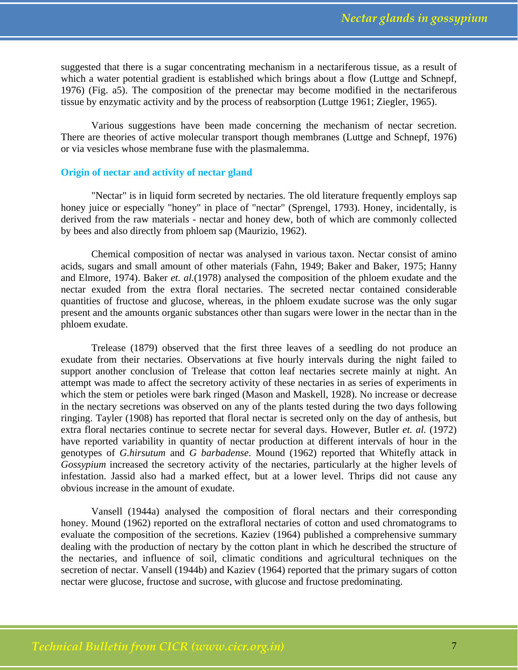suggested that there is a sugar concentrating mechanism in a nectariferous tissue, as a result of which a water potential gradient is established which brings about a flow (Luttge and Schnepf, 1976) (Fig. a5). The composition of the prenectar may become modified in the nectariferous tissue by enzymatic activity and by the process of reabsorption (Luttge 1961; Ziegler, 1965).

 Various suggestions have been made concerning the mechanism of nectar secretion. There are theories of active molecular transport though membranes (Luttge and Schnepf, 1976) or via vesicles whose membrane fuse with the plasmalemma.

#### **Origin of nectar and activity of nectar gland**

 "Nectar" is in liquid form secreted by nectaries. The old literature frequently employs sap honey juice or especially "honey" in place of "nectar" (Sprengel, 1793). Honey, incidentally, is derived from the raw materials - nectar and honey dew, both of which are commonly collected by bees and also directly from phloem sap (Maurizio, 1962).

 Chemical composition of nectar was analysed in various taxon. Nectar consist of amino acids, sugars and small amount of other materials (Fahn, 1949; Baker and Baker, 1975; Hanny and Elmore, 1974). Baker *et. al.*(1978) analysed the composition of the phloem exudate and the nectar exuded from the extra floral nectaries. The secreted nectar contained considerable quantities of fructose and glucose, whereas, in the phloem exudate sucrose was the only sugar present and the amounts organic substances other than sugars were lower in the nectar than in the phloem exudate.

 Trelease (1879) observed that the first three leaves of a seedling do not produce an exudate from their nectaries. Observations at five hourly intervals during the night failed to support another conclusion of Trelease that cotton leaf nectaries secrete mainly at night. An attempt was made to affect the secretory activity of these nectaries in as series of experiments in which the stem or petioles were bark ringed (Mason and Maskell, 1928). No increase or decrease in the nectary secretions was observed on any of the plants tested during the two days following ringing. Tayler (1908) has reported that floral nectar is secreted only on the day of anthesis, but extra floral nectaries continue to secrete nectar for several days. However, Butler *et. al.* (1972) have reported variability in quantity of nectar production at different intervals of hour in the genotypes of *G.hirsutum* and *G barbadense*. Mound (1962) reported that Whitefly attack in *Gossypium* increased the secretory activity of the nectaries, particularly at the higher levels of infestation. Jassid also had a marked effect, but at a lower level. Thrips did not cause any obvious increase in the amount of exudate.

 Vansell (1944a) analysed the composition of floral nectars and their corresponding honey. Mound (1962) reported on the extrafloral nectaries of cotton and used chromatograms to evaluate the composition of the secretions. Kaziev (1964) published a comprehensive summary dealing with the production of nectary by the cotton plant in which he described the structure of the nectaries, and influence of soil, climatic conditions and agricultural techniques on the secretion of nectar. Vansell (1944b) and Kaziev (1964) reported that the primary sugars of cotton nectar were glucose, fructose and sucrose, with glucose and fructose predominating.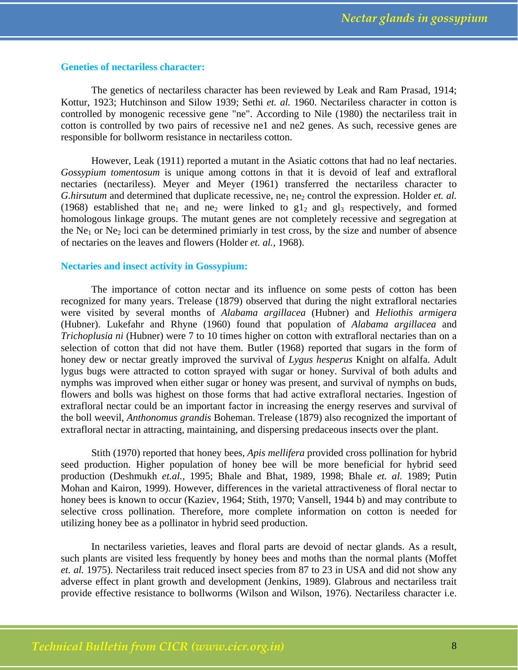### **Geneties of nectariless character:**

 The genetics of nectariless character has been reviewed by Leak and Ram Prasad, 1914; Kottur, 1923; Hutchinson and Silow 1939; Sethi *et. al.* 1960. Nectariless character in cotton is controlled by monogenic recessive gene "ne". According to Nile (1980) the nectariless trait in cotton is controlled by two pairs of recessive ne1 and ne2 genes. As such, recessive genes are responsible for bollworm resistance in nectariless cotton.

 However, Leak (1911) reported a mutant in the Asiatic cottons that had no leaf nectaries. *Gossypium tomentosum* is unique among cottons in that it is devoid of leaf and extrafloral nectaries (nectariless). Meyer and Meyer (1961) transferred the nectariless character to *G.hirsutum* and determined that duplicate recessive, ne<sub>1</sub> ne<sub>2</sub> control the expression. Holder *et. al.* (1968) established that ne<sub>1</sub> and ne<sub>2</sub> were linked to  $g1_2$  and  $g1_3$  respectively, and formed homologous linkage groups. The mutant genes are not completely recessive and segregation at the Ne<sub>1</sub> or Ne<sub>2</sub> loci can be determined primiarly in test cross, by the size and number of absence of nectaries on the leaves and flowers (Holder *et. al.,* 1968).

### **Nectaries and insect activity in Gossypium:**

 The importance of cotton nectar and its influence on some pests of cotton has been recognized for many years. Trelease (1879) observed that during the night extrafloral nectaries were visited by several months of *Alabama argillacea* (Hubner) and *Heliothis armigera* (Hubner). Lukefahr and Rhyne (1960) found that population of *Alabama argillacea* and *Trichoplusia ni* (Hubner) were 7 to 10 times higher on cotton with extrafloral nectaries than on a selection of cotton that did not have them. Butler (1968) reported that sugars in the form of honey dew or nectar greatly improved the survival of *Lygus hesperus* Knight on alfalfa. Adult lygus bugs were attracted to cotton sprayed with sugar or honey. Survival of both adults and nymphs was improved when either sugar or honey was present, and survival of nymphs on buds, flowers and bolls was highest on those forms that had active extrafloral nectaries. Ingestion of extrafloral nectar could be an important factor in increasing the energy reserves and survival of the boll weevil, *Anthonomus grandis* Boheman. Trelease (1879) also recognized the important of extrafloral nectar in attracting, maintaining, and dispersing predaceous insects over the plant.

Stith (1970) reported that honey bees, *Apis mellifera* provided cross pollination for hybrid seed production. Higher population of honey bee will be more beneficial for hybrid seed production (Deshmukh *et.al.,* 1995; Bhale and Bhat, 1989, 1998; Bhale *et. al.* 1989; Putin Mohan and Kairon, 1999). However, differences in the varietal attractiveness of floral nectar to honey bees is known to occur (Kaziev, 1964; Stith, 1970; Vansell, 1944 b) and may contribute to selective cross pollination. Therefore, more complete information on cotton is needed for utilizing honey bee as a pollinator in hybrid seed production.

 In nectariless varieties, leaves and floral parts are devoid of nectar glands. As a result, such plants are visited less frequently by honey bees and moths than the normal plants (Moffet *et. al.* 1975). Nectariless trait reduced insect species from 87 to 23 in USA and did not show any adverse effect in plant growth and development (Jenkins, 1989). Glabrous and nectariless trait provide effective resistance to bollworms (Wilson and Wilson, 1976). Nectariless character i.e.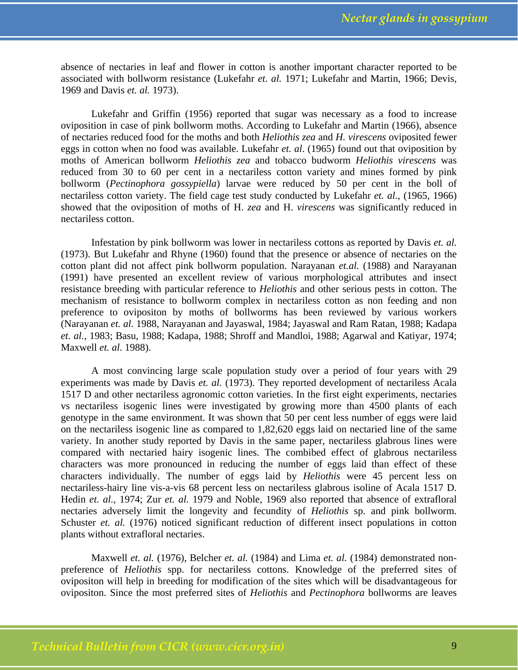absence of nectaries in leaf and flower in cotton is another important character reported to be associated with bollworm resistance (Lukefahr *et. al.* 1971; Lukefahr and Martin, 1966; Devis, 1969 and Davis *et. al.* 1973).

 Lukefahr and Griffin (1956) reported that sugar was necessary as a food to increase oviposition in case of pink bollworm moths. According to Lukefahr and Martin (1966), absence of nectaries reduced food for the moths and both *Heliothis zea* and *H. virescens* oviposited fewer eggs in cotton when no food was available. Lukefahr *et. al*. (1965) found out that oviposition by moths of American bollworm *Heliothis zea* and tobacco budworm *Heliothis virescens* was reduced from 30 to 60 per cent in a nectariless cotton variety and mines formed by pink bollworm (*Pectinophora gossypiella*) larvae were reduced by 50 per cent in the boll of nectariless cotton variety. The field cage test study conducted by Lukefahr *et. al.,* (1965, 1966) showed that the oviposition of moths of H. *zea* and H. *virescens* was significantly reduced in nectariless cotton.

 Infestation by pink bollworm was lower in nectariless cottons as reported by Davis *et. al.* (1973). But Lukefahr and Rhyne (1960) found that the presence or absence of nectaries on the cotton plant did not affect pink bollworm population. Narayanan *et.al.* (1988) and Narayanan (1991) have presented an excellent review of various morphological attributes and insect resistance breeding with particular reference to *Heliothis* and other serious pests in cotton. The mechanism of resistance to bollworm complex in nectariless cotton as non feeding and non preference to ovipositon by moths of bollworms has been reviewed by various workers (Narayanan *et. al.* 1988, Narayanan and Jayaswal, 1984; Jayaswal and Ram Ratan, 1988; Kadapa *et. al.,* 1983; Basu, 1988; Kadapa, 1988; Shroff and Mandloi, 1988; Agarwal and Katiyar, 1974; Maxwell *et. al.* 1988).

 A most convincing large scale population study over a period of four years with 29 experiments was made by Davis *et. al.* (1973). They reported development of nectariless Acala 1517 D and other nectariless agronomic cotton varieties. In the first eight experiments, nectaries vs nectariless isogenic lines were investigated by growing more than 4500 plants of each genotype in the same environment. It was shown that 50 per cent less number of eggs were laid on the nectariless isogenic line as compared to 1,82,620 eggs laid on nectaried line of the same variety. In another study reported by Davis in the same paper, nectariless glabrous lines were compared with nectaried hairy isogenic lines. The combibed effect of glabrous nectariless characters was more pronounced in reducing the number of eggs laid than effect of these characters individually. The number of eggs laid by *Heliothis* were 45 percent less on nectariless-hairy line vis-a-vis 68 percent less on nectariless glabrous isoline of Acala 1517 D. Hedin *et. al.,* 1974; Zur *et. al.* 1979 and Noble, 1969 also reported that absence of extrafloral nectaries adversely limit the longevity and fecundity of *Heliothis* sp. and pink bollworm. Schuster *et. al.* (1976) noticed significant reduction of different insect populations in cotton plants without extrafloral nectaries.

 Maxwell *et. al.* (1976), Belcher *et. al.* (1984) and Lima *et. al.* (1984) demonstrated nonpreference of *Heliothis* spp. for nectariless cottons. Knowledge of the preferred sites of ovipositon will help in breeding for modification of the sites which will be disadvantageous for ovipositon. Since the most preferred sites of *Heliothis* and *Pectinophora* bollworms are leaves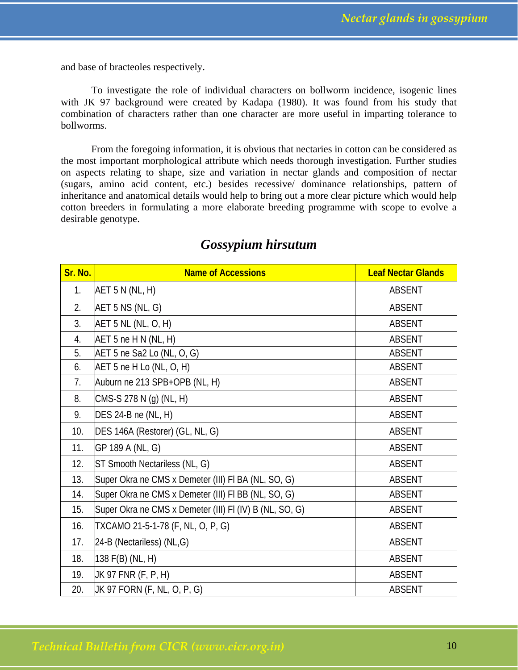and base of bracteoles respectively.

 To investigate the role of individual characters on bollworm incidence, isogenic lines with JK 97 background were created by Kadapa (1980). It was found from his study that combination of characters rather than one character are more useful in imparting tolerance to bollworms.

 From the foregoing information, it is obvious that nectaries in cotton can be considered as the most important morphological attribute which needs thorough investigation. Further studies on aspects relating to shape, size and variation in nectar glands and composition of nectar (sugars, amino acid content, etc.) besides recessive/ dominance relationships, pattern of inheritance and anatomical details would help to bring out a more clear picture which would help cotton breeders in formulating a more elaborate breeding programme with scope to evolve a desirable genotype.

| Sr. No. | <b>Name of Accessions</b>                               | <b>Leaf Nectar Glands</b> |
|---------|---------------------------------------------------------|---------------------------|
| 1.      | AET 5 N (NL, H)                                         | <b>ABSENT</b>             |
| 2.      | AET 5 NS (NL, G)                                        | <b>ABSENT</b>             |
| 3.      | AET 5 NL (NL, O, H)                                     | <b>ABSENT</b>             |
| 4.      | AET 5 ne H N (NL, H)                                    | <b>ABSENT</b>             |
| 5.      | AET 5 ne Sa2 Lo (NL, O, G)                              | <b>ABSENT</b>             |
| 6.      | AET 5 ne H Lo (NL, O, H)                                | <b>ABSENT</b>             |
| 7.      | Auburn ne 213 SPB+OPB (NL, H)                           | ABSENT                    |
| 8.      | CMS-S 278 N (g) (NL, H)                                 | <b>ABSENT</b>             |
| 9.      | DES 24-B ne (NL, H)                                     | <b>ABSENT</b>             |
| 10.     | DES 146A (Restorer) (GL, NL, G)                         | ABSENT                    |
| 11.     | GP 189 A (NL, G)                                        | <b>ABSENT</b>             |
| 12.     | ST Smooth Nectariless (NL, G)                           | <b>ABSENT</b>             |
| 13.     | Super Okra ne CMS x Demeter (III) FI BA (NL, SO, G)     | ABSENT                    |
| 14.     | Super Okra ne CMS x Demeter (III) FI BB (NL, SO, G)     | ABSENT                    |
| 15.     | Super Okra ne CMS x Demeter (III) FI (IV) B (NL, SO, G) | <b>ABSENT</b>             |
| 16.     | TXCAMO 21-5-1-78 (F, NL, O, P, G)                       | <b>ABSENT</b>             |
| 17.     | 24-B (Nectariless) (NL,G)                               | <b>ABSENT</b>             |
| 18.     | 138 F(B) (NL, H)                                        | <b>ABSENT</b>             |
| 19.     | JK 97 FNR (F, P, H)                                     | <b>ABSENT</b>             |
| 20.     | JK 97 FORN (F, NL, O, P, G)                             | <b>ABSENT</b>             |

### *Gossypium hirsutum*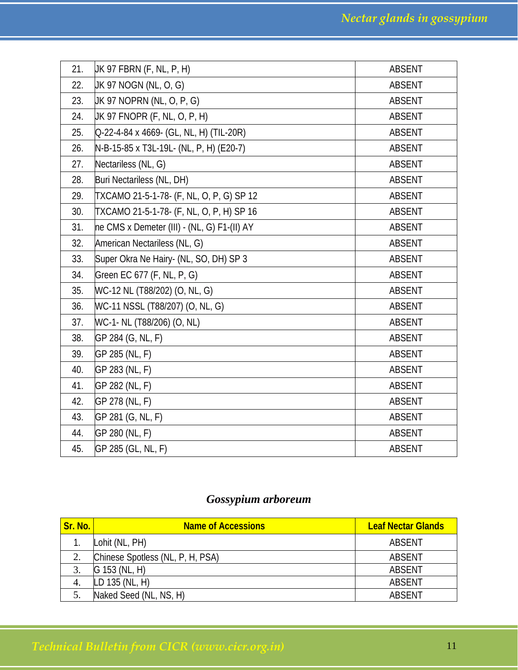| 21. | UK 97 FBRN (F, NL, P, H)                    | <b>ABSENT</b> |
|-----|---------------------------------------------|---------------|
| 22. | JK 97 NOGN (NL, O, G)                       | ABSENT        |
| 23. | JK 97 NOPRN (NL, O, P, G)                   | ABSENT        |
| 24. | JK 97 FNOPR (F, NL, O, P, H)                | ABSENT        |
| 25. | Q-22-4-84 x 4669- (GL, NL, H) (TIL-20R)     | <b>ABSENT</b> |
| 26. | N-B-15-85 x T3L-19L- (NL, P, H) (E20-7)     | <b>ABSENT</b> |
| 27. | Nectariless (NL, G)                         | <b>ABSENT</b> |
| 28. | Buri Nectariless (NL, DH)                   | ABSENT        |
| 29. | TXCAMO 21-5-1-78- (F, NL, O, P, G) SP 12    | ABSENT        |
| 30. | TXCAMO 21-5-1-78- (F, NL, O, P, H) SP 16    | ABSENT        |
| 31. | ne CMS x Demeter (III) - (NL, G) F1-(II) AY | ABSENT        |
| 32. | American Nectariless (NL, G)                | <b>ABSENT</b> |
| 33. | Super Okra Ne Hairy- (NL, SO, DH) SP 3      | <b>ABSENT</b> |
| 34. | Green EC 677 (F, NL, P, G)                  | ABSENT        |
| 35. | WC-12 NL (T88/202) (O, NL, G)               | ABSENT        |
| 36. | WC-11 NSSL (T88/207) (O, NL, G)             | <b>ABSENT</b> |
| 37. | WC-1- NL (T88/206) (O, NL)                  | <b>ABSENT</b> |
| 38. | GP 284 (G, NL, F)                           | ABSENT        |
| 39. | GP 285 (NL, F)                              | ABSENT        |
| 40. | GP 283 (NL, F)                              | ABSENT        |
| 41. | GP 282 (NL, F)                              | ABSENT        |
| 42. | GP 278 (NL, F)                              | ABSENT        |
| 43. | GP 281 (G, NL, F)                           | ABSENT        |
| 44. | GP 280 (NL, F)                              | <b>ABSENT</b> |
| 45. | GP 285 (GL, NL, F)                          | <b>ABSENT</b> |

## *Gossypium arboreum*

| Sr. No. | <b>Name of Accessions</b>        | <b>Leaf Nectar Glands</b> |
|---------|----------------------------------|---------------------------|
|         | Lohit (NL, PH)                   | ABSENT                    |
| 2.      | Chinese Spotless (NL, P, H, PSA) | <b>ABSENT</b>             |
|         | G 153 (NL, H)                    | ABSENT                    |
|         | $LD$ 135 (NL, H)                 | ABSENT                    |
|         | Naked Seed (NL, NS, H)           | ABSENT                    |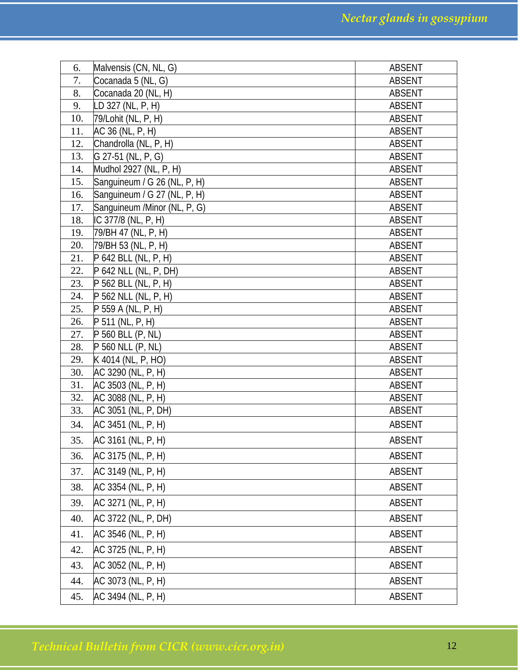| 6.         | Malvensis (CN, NL, G)                      | <b>ABSENT</b>                  |
|------------|--------------------------------------------|--------------------------------|
| 7.         | Cocanada 5 (NL, G)                         | <b>ABSENT</b>                  |
| 8.         | Cocanada 20 (NL, H)                        | <b>ABSENT</b>                  |
| 9.         | LD 327 (NL, P, H)                          | <b>ABSENT</b>                  |
| 10.        | 79/Lohit (NL, P, H)                        | <b>ABSENT</b>                  |
| 11.        | AC 36 (NL, P, H)                           | <b>ABSENT</b>                  |
| 12.        | Chandrolla (NL, P, H)                      | <b>ABSENT</b>                  |
| 13.        | G 27-51 (NL, P, G)                         | <b>ABSENT</b>                  |
| 14.        | Mudhol 2927 (NL, P, H)                     | <b>ABSENT</b>                  |
| 15.        | Sanguineum / G 26 (NL, P, H)               | <b>ABSENT</b>                  |
| 16.        | Sanguineum / G 27 (NL, P, H)               | <b>ABSENT</b>                  |
| 17.        | Sanguineum /Minor (NL, P, G)               | <b>ABSENT</b>                  |
| 18.        | IC 377/8 (NL, P, H)                        | <b>ABSENT</b>                  |
| 19.        | 79/BH 47 (NL, P, H)                        | ABSENT                         |
| 20.        | 79/BH 53 (NL, P, H)                        | <b>ABSENT</b>                  |
| 21.        | P 642 BLL (NL, P, H)                       | <b>ABSENT</b>                  |
| 22.        | P 642 NLL (NL, P, DH)                      | <b>ABSENT</b>                  |
| 23.        | P 562 BLL (NL, P, H)                       | <b>ABSENT</b>                  |
| 24.<br>25. | P 562 NLL (NL, P, H)<br>P 559 A (NL, P, H) | <b>ABSENT</b><br><b>ABSENT</b> |
| 26.        | P 511 (NL, P, H)                           | <b>ABSENT</b>                  |
| 27.        | P 560 BLL (P, NL)                          | ABSENT                         |
| 28.        | P 560 NLL (P, NL)                          | <b>ABSENT</b>                  |
| 29.        | K 4014 (NL, P, HO)                         | <b>ABSENT</b>                  |
| 30.        | AC 3290 (NL, P, H)                         | <b>ABSENT</b>                  |
| 31.        | AC 3503 (NL, P, H)                         | ABSENT                         |
| 32.        | AC 3088 (NL, P, H)                         | <b>ABSENT</b>                  |
| 33.        | AC 3051 (NL, P, DH)                        | <b>ABSENT</b>                  |
| 34.        | AC 3451 (NL, P, H)                         | <b>ABSENT</b>                  |
| 35.        | AC 3161 (NL, P, H)                         | ABSENT                         |
| 36.        | AC 3175 (NL, P, H)                         | <b>ABSENT</b>                  |
| 37.        | AC 3149 (NL, P, H)                         | <b>ABSENT</b>                  |
| 38.        | AC 3354 (NL, P, H)                         | ABSENT                         |
| 39.        | AC 3271 (NL, P, H)                         | ABSENT                         |
| 40.        | AC 3722 (NL, P, DH)                        | ABSENT                         |
| 41.        | AC 3546 (NL, P, H)                         | <b>ABSENT</b>                  |
| 42.        | AC 3725 (NL, P, H)                         | ABSENT                         |
| 43.        | AC 3052 (NL, P, H)                         | ABSENT                         |
| 44.        | AC 3073 (NL, P, H)                         | ABSENT                         |
| 45.        | AC 3494 (NL, P, H)                         | ABSENT                         |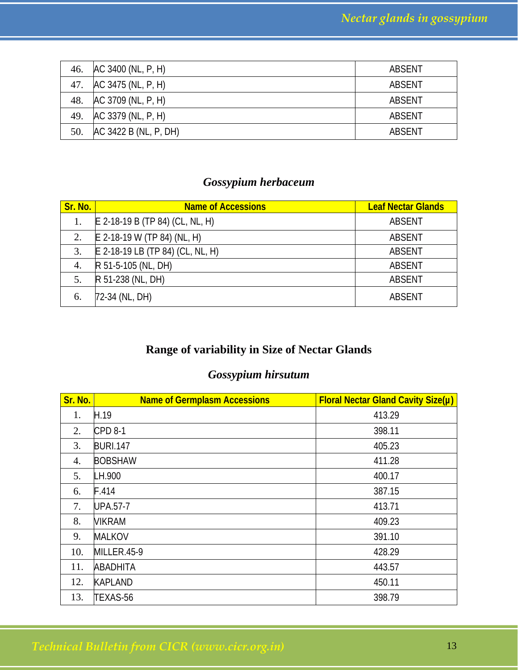| 46. | AC 3400 (NL, P, H)    | ABSENT |
|-----|-----------------------|--------|
| 47. | AC 3475 (NL, P, H)    | ABSENT |
| 48. | AC 3709 (NL, P, H)    | ABSENT |
| 49. | AC 3379 (NL, P, H)    | ABSENT |
| 50. | AC 3422 B (NL, P, DH) | ABSENT |

## *Gossypium herbaceum*

| Sr. No. | <b>Name of Accessions</b>        | <b>Leaf Nectar Glands</b> |
|---------|----------------------------------|---------------------------|
| 1.      | E 2-18-19 B (TP 84) (CL, NL, H)  | <b>ABSENT</b>             |
| 2.      | $E$ 2-18-19 W (TP 84) (NL, H)    | <b>ABSENT</b>             |
| 3.      | E 2-18-19 LB (TP 84) (CL, NL, H) | ABSENT                    |
| 4.      | R 51-5-105 (NL, DH)              | <b>ABSENT</b>             |
| 5.      | R 51-238 (NL, DH)                | <b>ABSENT</b>             |
| 6.      | 72-34 (NL, DH)                   | ABSENT                    |

## **Range of variability in Size of Nectar Glands**

## *Gossypium hirsutum*

| Sr. No. | <b>Name of Germplasm Accessions</b> | <b>Floral Nectar Gland Cavity Size(µ)</b> |
|---------|-------------------------------------|-------------------------------------------|
| 1.      | H.19                                | 413.29                                    |
| 2.      | CPD 8-1                             | 398.11                                    |
| 3.      | <b>BURI.147</b>                     | 405.23                                    |
| 4.      | <b>BOBSHAW</b>                      | 411.28                                    |
| 5.      | LH.900                              | 400.17                                    |
| 6.      | F.414                               | 387.15                                    |
| 7.      | <b>UPA.57-7</b>                     | 413.71                                    |
| 8.      | <b>VIKRAM</b>                       | 409.23                                    |
| 9.      | <b>MALKOV</b>                       | 391.10                                    |
| 10.     | MILLER.45-9                         | 428.29                                    |
| 11.     | <b>ABADHITA</b>                     | 443.57                                    |
| 12.     | <b>KAPLAND</b>                      | 450.11                                    |
| 13.     | TEXAS-56                            | 398.79                                    |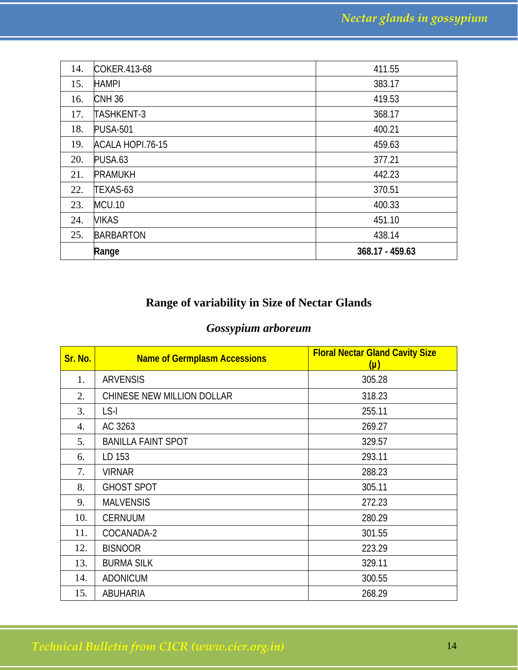| 14. | COKER.413-68      | 411.55          |
|-----|-------------------|-----------------|
| 15. | <b>HAMPI</b>      | 383.17          |
| 16. | <b>CNH36</b>      | 419.53          |
| 17. | <b>TASHKENT-3</b> | 368.17          |
| 18. | <b>PUSA-501</b>   | 400.21          |
| 19. | ACALA HOPI.76-15  | 459.63          |
| 20. | PUSA.63           | 377.21          |
| 21. | <b>PRAMUKH</b>    | 442.23          |
| 22. | TEXAS-63          | 370.51          |
| 23. | <b>MCU.10</b>     | 400.33          |
| 24. | <b>VIKAS</b>      | 451.10          |
| 25. | <b>BARBARTON</b>  | 438.14          |
|     | Range             | 368.17 - 459.63 |

## **Range of variability in Size of Nectar Glands**

## *Gossypium arboreum*

| Sr. No. | <b>Name of Germplasm Accessions</b> | <b>Floral Nectar Gland Cavity Size</b><br>(µ) |
|---------|-------------------------------------|-----------------------------------------------|
| 1.      | <b>ARVENSIS</b>                     | 305.28                                        |
| 2.      | CHINESE NEW MILLION DOLLAR          | 318.23                                        |
| 3.      | LS-I                                | 255.11                                        |
| 4.      | AC 3263                             | 269.27                                        |
| 5.      | <b>BANILLA FAINT SPOT</b>           | 329.57                                        |
| 6.      | LD 153                              | 293.11                                        |
| 7.      | <b>VIRNAR</b>                       | 288.23                                        |
| 8.      | <b>GHOST SPOT</b>                   | 305.11                                        |
| 9.      | <b>MALVENSIS</b>                    | 272.23                                        |
| 10.     | <b>CERNUUM</b>                      | 280.29                                        |
| 11.     | COCANADA-2                          | 301.55                                        |
| 12.     | <b>BISNOOR</b>                      | 223.29                                        |
| 13.     | <b>BURMA SILK</b>                   | 329.11                                        |
| 14.     | <b>ADONICUM</b>                     | 300.55                                        |
| 15.     | <b>ABUHARIA</b>                     | 268.29                                        |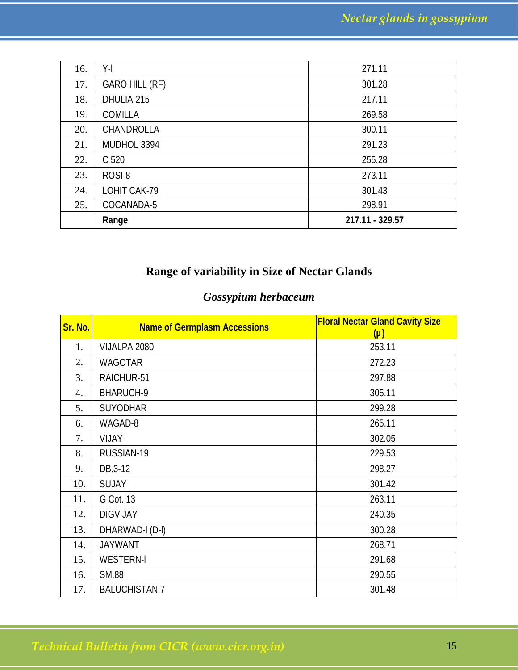| 16. | Y-l                   | 271.11          |
|-----|-----------------------|-----------------|
| 17. | <b>GARO HILL (RF)</b> | 301.28          |
| 18. | DHULIA-215            | 217.11          |
| 19. | <b>COMILLA</b>        | 269.58          |
| 20. | CHANDROLLA            | 300.11          |
| 21. | MUDHOL 3394           | 291.23          |
| 22. | C 520                 | 255.28          |
| 23. | ROSI-8                | 273.11          |
| 24. | LOHIT CAK-79          | 301.43          |
| 25. | COCANADA-5            | 298.91          |
|     | Range                 | 217.11 - 329.57 |

## **Range of variability in Size of Nectar Glands**

## *Gossypium herbaceum*

| Sr. No. | <b>Name of Germplasm Accessions</b> | <b>Floral Nectar Gland Cavity Size</b><br>$(\mu)$ |
|---------|-------------------------------------|---------------------------------------------------|
| 1.      | VIJALPA 2080                        | 253.11                                            |
| 2.      | <b>WAGOTAR</b>                      | 272.23                                            |
| 3.      | RAICHUR-51                          | 297.88                                            |
| 4.      | BHARUCH-9                           | 305.11                                            |
| 5.      | <b>SUYODHAR</b>                     | 299.28                                            |
| 6.      | WAGAD-8                             | 265.11                                            |
| 7.      | <b>VIJAY</b>                        | 302.05                                            |
| 8.      | RUSSIAN-19                          | 229.53                                            |
| 9.      | DB.3-12                             | 298.27                                            |
| 10.     | <b>SUJAY</b>                        | 301.42                                            |
| 11.     | G Cot. 13                           | 263.11                                            |
| 12.     | <b>DIGVIJAY</b>                     | 240.35                                            |
| 13.     | DHARWAD-I (D-I)                     | 300.28                                            |
| 14.     | <b>JAYWANT</b>                      | 268.71                                            |
| 15.     | <b>WESTERN-I</b>                    | 291.68                                            |
| 16.     | <b>SM.88</b>                        | 290.55                                            |
| 17.     | <b>BALUCHISTAN.7</b>                | 301.48                                            |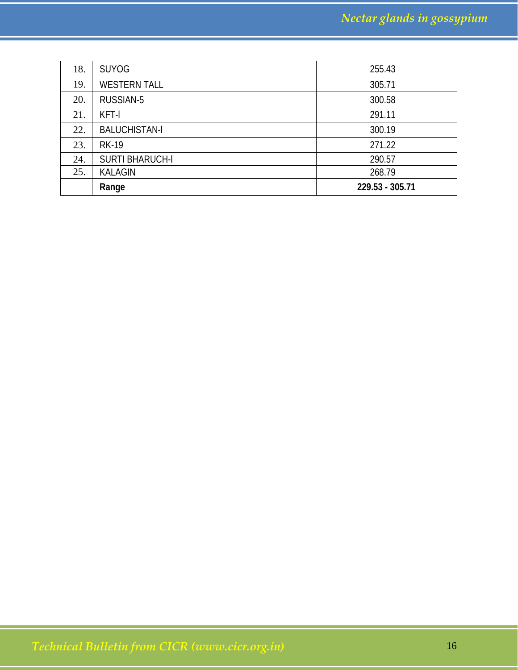|     | Range                  | 229.53 - 305.71 |
|-----|------------------------|-----------------|
| 25. | <b>KALAGIN</b>         | 268.79          |
| 24. | <b>SURTI BHARUCH-I</b> | 290.57          |
| 23. | <b>RK-19</b>           | 271.22          |
| 22. | <b>BALUCHISTAN-I</b>   | 300.19          |
| 21. | KFT-I                  | 291.11          |
| 20. | RUSSIAN-5              | 300.58          |
| 19. | <b>WESTERN TALL</b>    | 305.71          |
| 18. | <b>SUYOG</b>           | 255.43          |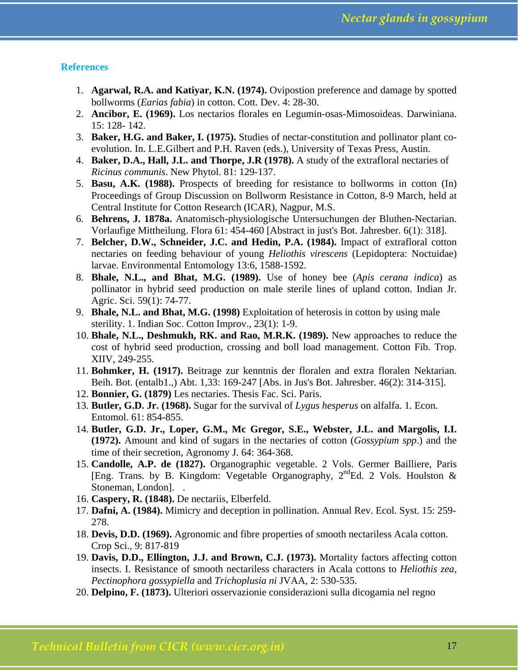### **References**

- 1. **Agarwal, R.A. and Katiyar, K.N. (1974).** Ovipostion preference and damage by spotted bollworms (*Earias fabia*) in cotton. Cott. Dev. 4: 28-30.
- 2. **Ancibor, E. (1969).** Los nectarios florales en Legumin-osas-Mimosoideas. Darwiniana. 15: 128- 142.
- 3. **Baker, H.G. and Baker, I. (1975).** Studies of nectar-constitution and pollinator plant coevolution. In. L.E.Gilbert and P.H. Raven (eds.), University of Texas Press, Austin.
- 4. **Baker, D.A., Hall, J.L. and Thorpe, J.R (1978).** A study of the extrafloral nectaries of *Ricinus communis*. New Phytol. 81: 129-137.
- 5. **Basu, A.K. (1988).** Prospects of breeding for resistance to bollworms in cotton (In) Proceedings of Group Discussion on Bollworm Resistance in Cotton, 8-9 March, held at Central Institute for Cotton Research (ICAR), Nagpur, M.S.
- 6. **Behrens, J. 1878a.** Anatomisch-physiologische Untersuchungen der Bluthen-Nectarian. Vorlaufige Mittheilung. Flora 61: 454-460 [Abstract in just's Bot. Jahresber. 6(1): 318].
- 7. **Belcher, D.W., Schneider, J.C. and Hedin, P.A. (1984).** Impact of extrafloral cotton nectaries on feeding behaviour of young *Heliothis virescens* (Lepidoptera: Noctuidae) larvae. Environmental Entomology 13:6, 1588-1592.
- 8. **Bhale, N.L., and Bhat, M.G. (1989).** Use of honey bee (*Apis cerana indica*) as pollinator in hybrid seed production on male sterile lines of upland cotton. Indian Jr. Agric. Sci. 59(1): 74-77.
- 9. **Bhale, N.L. and Bhat, M.G. (1998)** Exploitation of heterosis in cotton by using male sterility. 1. Indian Soc. Cotton Improv., 23(1): 1-9.
- 10. **Bhale, N.L., Deshmukh, RK. and Rao, M.R.K. (1989).** New approaches to reduce the cost of hybrid seed production, crossing and boll load management. Cotton Fib. Trop. XIIV, 249-255.
- 11. **Bohmker, H. (1917).** Beitrage zur kenntnis der floralen and extra floralen Nektarian. Beih. Bot. (entalb1.,) Abt. 1,33: 169-247 [Abs. in Jus's Bot. Jahresber. 46(2): 314-315].
- 12. **Bonnier, G. (1879)** Les nectaries. Thesis Fac. Sci. Paris.
- 13. **Butler, G.D. Jr. (1968).** Sugar for the survival of *Lygus hesperus* on alfalfa. 1. Econ. Entomol. 61: 854-855.
- 14. **Butler, G.D. Jr., Loper, G.M., Mc Gregor, S.E., Webster, J.L. and Margolis, I.I. (1972).** Amount and kind of sugars in the nectaries of cotton (*Gossypium spp*.) and the time of their secretion, Agronomy J. 64: 364-368.
- 15. **Candolle, A.P. de (1827).** Organographic vegetable. 2 Vols. Germer Bailliere, Paris [Eng. Trans. by B. Kingdom: Vegetable Organography,  $2^{nd}Ed. 2$  Vols. Houlston & Stoneman, London]. .
- 16. **Caspery, R. (1848).** De nectariis, Elberfeld.
- 17. **Dafni, A. (1984).** Mimicry and deception in pollination. Annual Rev. Ecol. Syst. 15: 259- 278.
- 18. **Devis, D.D. (1969).** Agronomic and fibre properties of smooth nectariless Acala cotton. Crop Sci., 9: 817-819
- 19. **Davis, D.D., Ellington, J.J. and Brown, C.J. (1973).** Mortality factors affecting cotton insects. I. Resistance of smooth nectariless characters in Acala cottons to *Heliothis zea, Pectinophora gossypiella* and *Trichoplusia ni* JVAA, 2: 530-535.
- 20. **Delpino, F. (1873).** Ulteriori osservazionie considerazioni sulla dicogamia nel regno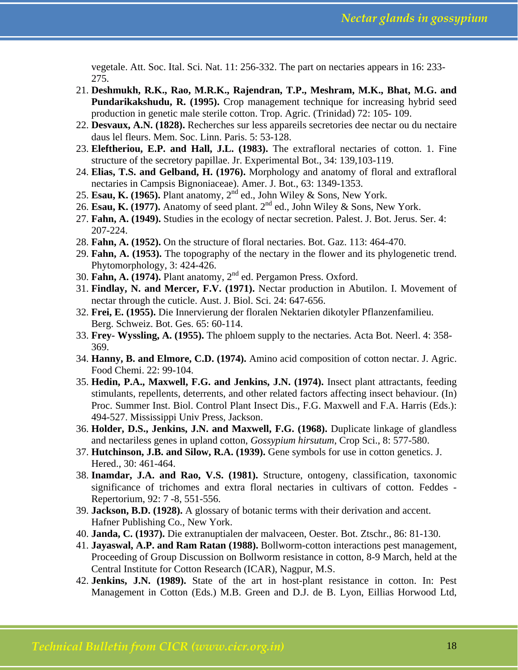vegetale. Att. Soc. Ital. Sci. Nat. 11: 256-332. The part on nectaries appears in 16: 233- 275.

- 21. **Deshmukh, R.K., Rao, M.R.K., Rajendran, T.P., Meshram, M.K., Bhat, M.G. and Pundarikakshudu, R. (1995).** Crop management technique for increasing hybrid seed production in genetic male sterile cotton. Trop. Agric. (Trinidad) 72: 105- 109.
- 22. **Desvaux, A.N. (1828).** Recherches sur less appareils secretories dee nectar ou du nectaire daus lel fleurs. Mem. Soc. Linn. Paris. 5: 53-128.
- 23. **Eleftheriou, E.P. and Hall, J.L. (1983).** The extrafloral nectaries of cotton. 1. Fine structure of the secretory papillae. Jr. Experimental Bot., 34: 139,103-119.
- 24. **Elias, T.S. and Gelband, H. (1976).** Morphology and anatomy of floral and extrafloral nectaries in Campsis Bignoniaceae). Amer. J. Bot., 63: 1349-1353.
- 25. **Esau, K. (1965).** Plant anatomy,  $2^{nd}$  ed., John Wiley & Sons, New York.
- 26. **Esau, K. (1977).** Anatomy of seed plant. 2nd ed., John Wiley & Sons, New York.
- 27. **Fahn, A. (1949).** Studies in the ecology of nectar secretion. Palest. J. Bot. Jerus. Ser. 4: 207-224.
- 28. **Fahn, A. (1952).** On the structure of floral nectaries. Bot. Gaz. 113: 464-470.
- 29. **Fahn, A. (1953).** The topography of the nectary in the flower and its phylogenetic trend. Phytomorphology, 3: 424-426.
- 30. **Fahn, A. (1974).** Plant anatomy, 2nd ed. Pergamon Press. Oxford.
- 31. **Findlay, N. and Mercer, F.V. (1971).** Nectar production in Abutilon. I. Movement of nectar through the cuticle. Aust. J. Biol. Sci. 24: 647-656.
- 32. **Frei, E. (1955).** Die Innervierung der floralen Nektarien dikotyler Pflanzenfamilieu. Berg. Schweiz. Bot. Ges. 65: 60-114.
- 33. **Frey- Wyssling, A. (1955).** The phloem supply to the nectaries. Acta Bot. Neerl. 4: 358- 369.
- 34. **Hanny, B. and Elmore, C.D. (1974).** Amino acid composition of cotton nectar. J. Agric. Food Chemi. 22: 99-104.
- 35. **Hedin, P.A., Maxwell, F.G. and Jenkins, J.N. (1974).** Insect plant attractants, feeding stimulants, repellents, deterrents, and other related factors affecting insect behaviour. (In) Proc. Summer Inst. Biol. Control Plant Insect Dis., F.G. Maxwell and F.A. Harris (Eds.): 494-527. Mississippi Univ Press, Jackson.
- 36. **Holder, D.S., Jenkins, J.N. and Maxwell, F.G. (1968).** Duplicate linkage of glandless and nectariless genes in upland cotton, *Gossypium hirsutum*, Crop Sci., 8: 577-580.
- 37. **Hutchinson, J.B. and Silow, R.A. (1939).** Gene symbols for use in cotton genetics. J. Hered., 30: 461-464.
- 38. **Inamdar, J.A. and Rao, V.S. (1981).** Structure, ontogeny, classification, taxonomic significance of trichomes and extra floral nectaries in cultivars of cotton. Feddes - Repertorium, 92: 7 -8, 551-556.
- 39. **Jackson, B.D. (1928).** A glossary of botanic terms with their derivation and accent. Hafner Publishing Co., New York.
- 40. **Janda, C. (1937).** Die extranuptialen der malvaceen, Oester. Bot. Ztschr., 86: 81-130.
- 41. **Jayaswal, A.P. and Ram Ratan (1988).** Bollworm-cotton interactions pest management, Proceeding of Group Discussion on Bollworm resistance in cotton, 8-9 March, held at the Central Institute for Cotton Research (ICAR), Nagpur, M.S.
- 42. **Jenkins, J.N. (1989).** State of the art in host-plant resistance in cotton. In: Pest Management in Cotton (Eds.) M.B. Green and D.J. de B. Lyon, Eillias Horwood Ltd,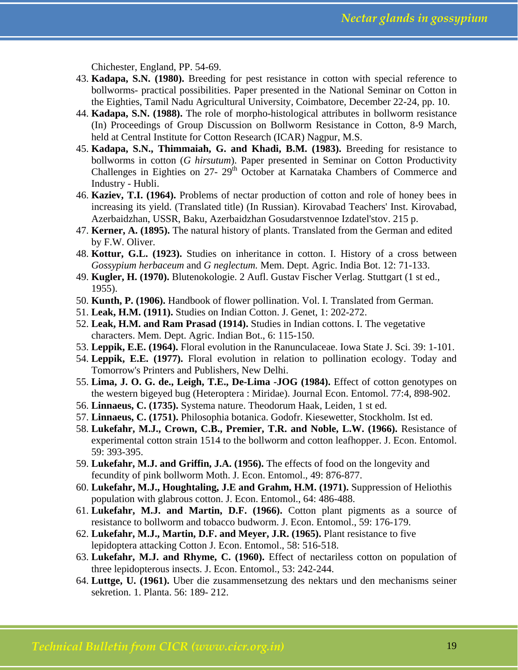Chichester, England, PP. 54-69.

- 43. **Kadapa, S.N. (1980).** Breeding for pest resistance in cotton with special reference to bollworms- practical possibilities. Paper presented in the National Seminar on Cotton in the Eighties, Tamil Nadu Agricultural University, Coimbatore, December 22-24, pp. 10.
- 44. **Kadapa, S.N. (1988).** The role of morpho-histological attributes in bollworm resistance (In) Proceedings of Group Discussion on Bollworm Resistance in Cotton, 8-9 March, held at Central Institute for Cotton Research (ICAR) Nagpur, M.S.
- 45. **Kadapa, S.N., Thimmaiah, G. and Khadi, B.M. (1983).** Breeding for resistance to bollworms in cotton (*G hirsutum*). Paper presented in Seminar on Cotton Productivity Challenges in Eighties on  $27 - 29$ <sup>th</sup> October at Karnataka Chambers of Commerce and Industry - Hubli.
- 46. **Kaziev, T.I. (1964).** Problems of nectar production of cotton and role of honey bees in increasing its yield. (Translated title) (In Russian). Kirovabad Teachers' Inst. Kirovabad, Azerbaidzhan, USSR, Baku, Azerbaidzhan Gosudarstvennoe Izdatel'stov. 215 p.
- 47. **Kerner, A. (1895).** The natural history of plants. Translated from the German and edited by F.W. Oliver.
- 48. **Kottur, G.L. (1923).** Studies on inheritance in cotton. I. History of a cross between *Gossypium herbaceum* and *G neglectum.* Mem. Dept. Agric. India Bot. 12: 71-133.
- 49. **Kugler, H. (1970).** Blutenokologie. 2 Aufl. Gustav Fischer Verlag. Stuttgart (1 st ed., 1955).
- 50. **Kunth, P. (1906).** Handbook of flower pollination. Vol. I. Translated from German.
- 51. **Leak, H.M. (1911).** Studies on Indian Cotton. J. Genet, 1: 202-272.
- 52. **Leak, H.M. and Ram Prasad (1914).** Studies in Indian cottons. I. The vegetative characters. Mem. Dept. Agric. Indian Bot., 6: 115-150.
- 53. **Leppik, E.E. (1964).** Floral evolution in the Ranunculaceae. Iowa State J. Sci. 39: 1-101.
- 54. **Leppik, E.E. (1977).** Floral evolution in relation to pollination ecology. Today and Tomorrow's Printers and Publishers, New Delhi.
- 55. **Lima, J. O. G. de., Leigh, T.E., De-Lima -JOG (1984).** Effect of cotton genotypes on the western bigeyed bug (Heteroptera : Miridae). Journal Econ. Entomol. 77:4, 898-902.
- 56. **Linnaeus, C. (1735).** Systema nature. Theodorum Haak, Leiden, 1 st ed.
- 57. **Linnaeus, C. (1751).** Philosophia botanica. Godofr. Kiesewetter, Stockholm. Ist ed.
- 58. **Lukefahr, M.J., Crown, C.B., Premier, T.R. and Noble, L.W. (1966).** Resistance of experimental cotton strain 1514 to the bollworm and cotton leafhopper. J. Econ. Entomol. 59: 393-395.
- 59. **Lukefahr, M.J. and Griffin, J.A. (1956).** The effects of food on the longevity and fecundity of pink bollworm Moth. J. Econ. Entomol., 49: 876-877.
- 60. **Lukefahr, M.J., Houghtaling, J.E and Grahm, H.M. (1971).** Suppression of Heliothis population with glabrous cotton. J. Econ. Entomol., 64: 486-488.
- 61. **Lukefahr, M.J. and Martin, D.F. (1966).** Cotton plant pigments as a source of resistance to bollworm and tobacco budworm. J. Econ. Entomol., 59: 176-179.
- 62. **Lukefahr, M.J., Martin, D.F. and Meyer, J.R. (1965).** Plant resistance to five lepidoptera attacking Cotton J. Econ. Entomol., 58: 516-518.
- 63. **Lukefahr, M.J. and Rhyme, C. (1960).** Effect of nectariless cotton on population of three lepidopterous insects. J. Econ. Entomol., 53: 242-244.
- 64. **Luttge, U. (1961).** Uber die zusammensetzung des nektars und den mechanisms seiner sekretion. 1. Planta. 56: 189- 212.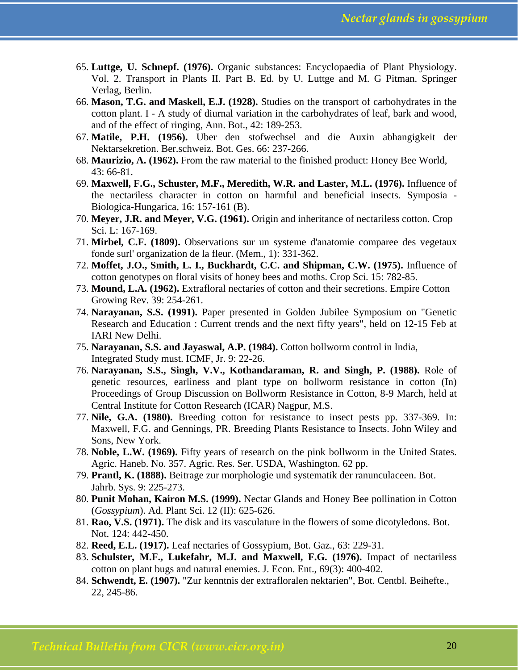- 65. **Luttge, U. Schnepf. (1976).** Organic substances: Encyclopaedia of Plant Physiology. Vol. 2. Transport in Plants II. Part B. Ed. by U. Luttge and M. G Pitman. Springer Verlag, Berlin.
- 66. **Mason, T.G. and Maskell, E.J. (1928).** Studies on the transport of carbohydrates in the cotton plant. I - A study of diurnal variation in the carbohydrates of leaf, bark and wood, and of the effect of ringing, Ann. Bot., 42: 189-253.
- 67. **Matile, P.H. (1956).** Uber den stofwechsel and die Auxin abhangigkeit der Nektarsekretion. Ber.schweiz. Bot. Ges. 66: 237-266.
- 68. **Maurizio, A. (1962).** From the raw material to the finished product: Honey Bee World, 43: 66-81.
- 69. **Maxwell, F.G., Schuster, M.F., Meredith, W.R. and Laster, M.L. (1976).** Influence of the nectariless character in cotton on harmful and beneficial insects. Symposia - Biologica-Hungarica, 16: 157-161 (B).
- 70. **Meyer, J.R. and Meyer, V.G. (1961).** Origin and inheritance of nectariless cotton. Crop Sci. L: 167-169.
- 71. **Mirbel, C.F. (1809).** Observations sur un systeme d'anatomie comparee des vegetaux fonde surl' organization de la fleur. (Mem., 1): 331-362.
- 72. **Moffet, J.O., Smith, L. I., Buckhardt, C.C. and Shipman, C.W. (1975).** Influence of cotton genotypes on floral visits of honey bees and moths. Crop Sci. 15: 782-85.
- 73. **Mound, L.A. (1962).** Extrafloral nectaries of cotton and their secretions. Empire Cotton Growing Rev. 39: 254-261.
- 74. **Narayanan, S.S. (1991).** Paper presented in Golden Jubilee Symposium on "Genetic Research and Education : Current trends and the next fifty years", held on 12-15 Feb at IARI New Delhi.
- 75. **Narayanan, S.S. and Jayaswal, A.P. (1984).** Cotton bollworm control in India, Integrated Study must. ICMF, Jr. 9: 22-26.
- 76. **Narayanan, S.S., Singh, V.V., Kothandaraman, R. and Singh, P. (1988).** Role of genetic resources, earliness and plant type on bollworm resistance in cotton (In) Proceedings of Group Discussion on Bollworm Resistance in Cotton, 8-9 March, held at Central Institute for Cotton Research (ICAR) Nagpur, M.S.
- 77. **Nile, G.A. (1980).** Breeding cotton for resistance to insect pests pp. 337-369. In: Maxwell, F.G. and Gennings, PR. Breeding Plants Resistance to Insects. John Wiley and Sons, New York.
- 78. **Noble, L.W. (1969).** Fifty years of research on the pink bollworm in the United States. Agric. Haneb. No. 357. Agric. Res. Ser. USDA, Washington. 62 pp.
- 79. **Prantl, K. (1888).** Beitrage zur morphologie und systematik der ranunculaceen. Bot. Jahrb. Sys. 9: 225-273.
- 80. **Punit Mohan, Kairon M.S. (1999).** Nectar Glands and Honey Bee pollination in Cotton (*Gossypium*). Ad. Plant Sci. 12 (II): 625-626.
- 81. **Rao, V.S. (1971).** The disk and its vasculature in the flowers of some dicotyledons. Bot. Not. 124: 442-450.
- 82. **Reed, E.L. (1917).** Leaf nectaries of Gossypium, Bot. Gaz., 63: 229-31.
- 83. **Schulster, M.F., Lukefahr, M.J. and Maxwell, F.G. (1976).** Impact of nectariless cotton on plant bugs and natural enemies. J. Econ. Ent., 69(3): 400-402.
- 84. **Schwendt, E. (1907).** "Zur kenntnis der extrafloralen nektarien", Bot. Centbl. Beihefte., 22, 245-86.